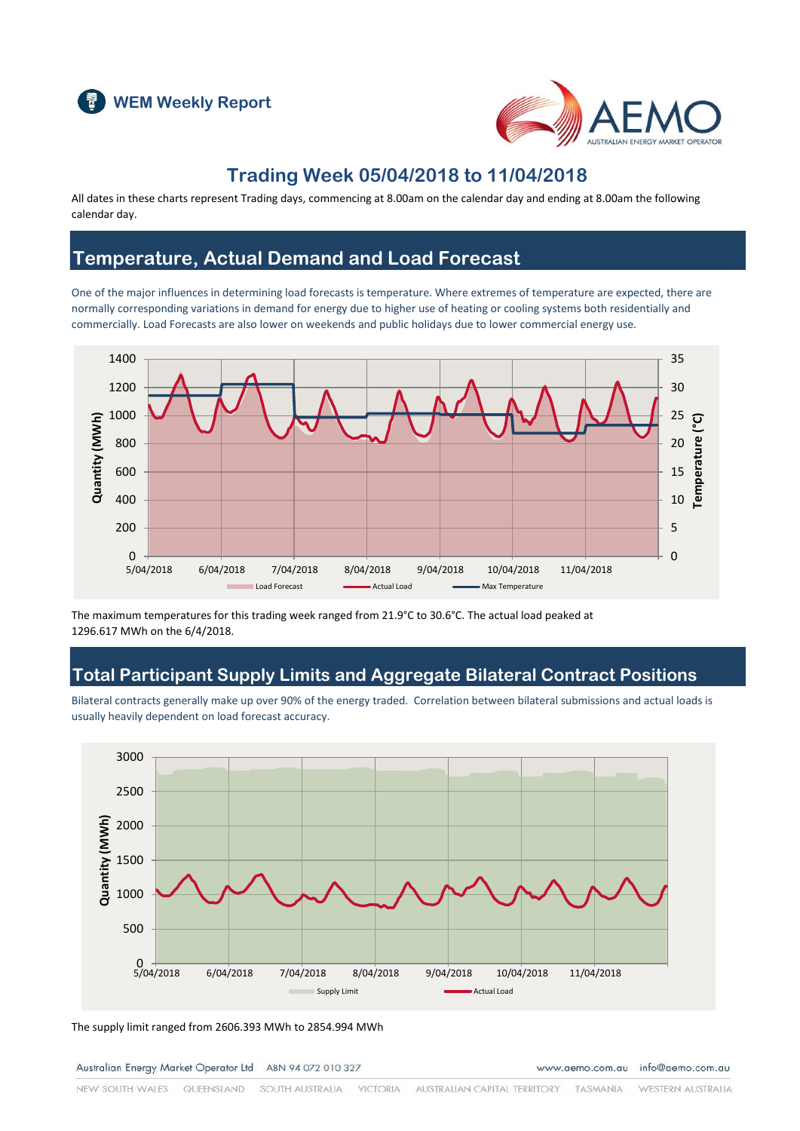



### **Trading Week 05/04/2018 to 11/04/2018**

All dates in these charts represent Trading days, commencing at 8.00am on the calendar day and ending at 8.00am the following calendar day.

### **Temperature, Actual Demand and Load Forecast**

One of the major influences in determining load forecasts is temperature. Where extremes of temperature are expected, there are normally corresponding variations in demand for energy due to higher use of heating or cooling systems both residentially and commercially. Load Forecasts are also lower on weekends and public holidays due to lower commercial energy use.



The maximum temperatures for this trading week ranged from 21.9°C to 30.6°C. The actual load peaked at 1296.617 MWh on the 6/4/2018.

### **Total Participant Supply Limits and Aggregate Bilateral Contract Positions**

Bilateral contracts generally make up over 90% of the energy traded. Correlation between bilateral submissions and actual loads is usually heavily dependent on load forecast accuracy.



The supply limit ranged from 2606.393 MWh to 2854.994 MWh

Australian Energy Market Operator Ltd ABN 94 072 010 327

www.aemo.com.au info@aemo.com.au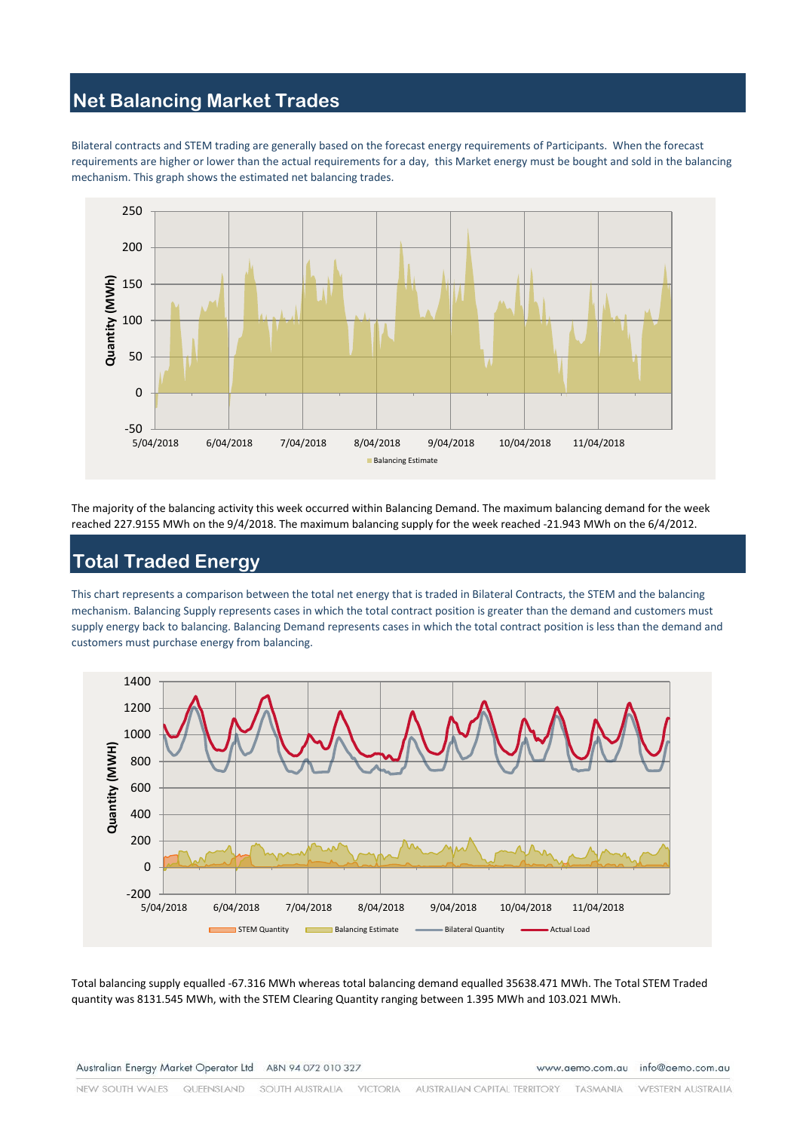# **Net Balancing Market Trades**

Bilateral contracts and STEM trading are generally based on the forecast energy requirements of Participants. When the forecast requirements are higher or lower than the actual requirements for a day, this Market energy must be bought and sold in the balancing mechanism. This graph shows the estimated net balancing trades.



The majority of the balancing activity this week occurred within Balancing Demand. The maximum balancing demand for the week reached 227.9155 MWh on the 9/4/2018. The maximum balancing supply for the week reached -21.943 MWh on the 6/4/2012.

### **Total Traded Energy**

This chart represents a comparison between the total net energy that is traded in Bilateral Contracts, the STEM and the balancing mechanism. Balancing Supply represents cases in which the total contract position is greater than the demand and customers must supply energy back to balancing. Balancing Demand represents cases in which the total contract position is less than the demand and customers must purchase energy from balancing.



Total balancing supply equalled -67.316 MWh whereas total balancing demand equalled 35638.471 MWh. The Total STEM Traded quantity was 8131.545 MWh, with the STEM Clearing Quantity ranging between 1.395 MWh and 103.021 MWh.

www.aemo.com.au info@aemo.com.au